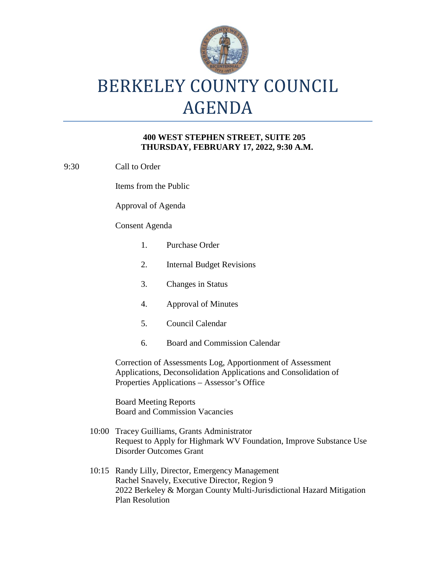

# BERKELEY COUNTY COUNCIL AGENDA

## **400 WEST STEPHEN STREET, SUITE 205 THURSDAY, FEBRUARY 17, 2022, 9:30 A.M.**

9:30 Call to Order

Items from the Public

Approval of Agenda

### Consent Agenda

- 1. Purchase Order
- 2. Internal Budget Revisions
- 3. Changes in Status
- 4. Approval of Minutes
- 5. Council Calendar
- 6. Board and Commission Calendar

Correction of Assessments Log, Apportionment of Assessment Applications, Deconsolidation Applications and Consolidation of Properties Applications – Assessor's Office

Board Meeting Reports Board and Commission Vacancies

- 10:00 Tracey Guilliams, Grants Administrator Request to Apply for Highmark WV Foundation, Improve Substance Use Disorder Outcomes Grant
- 10:15 Randy Lilly, Director, Emergency Management Rachel Snavely, Executive Director, Region 9 2022 Berkeley & Morgan County Multi-Jurisdictional Hazard Mitigation Plan Resolution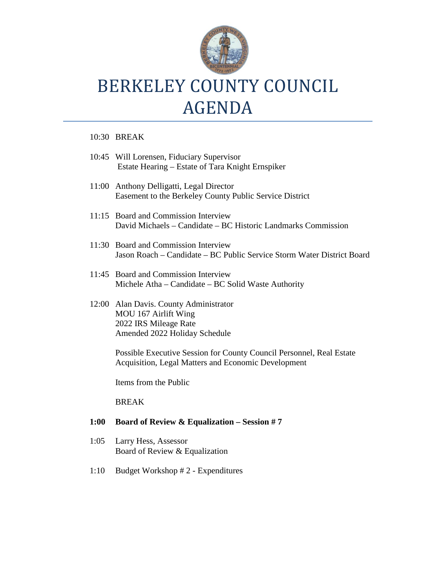

## BERKELEY COUNTY COUNCIL AGENDA

### 10:30 BREAK

- 10:45 Will Lorensen, Fiduciary Supervisor Estate Hearing – Estate of Tara Knight Ernspiker
- 11:00 Anthony Delligatti, Legal Director Easement to the Berkeley County Public Service District
- 11:15 Board and Commission Interview David Michaels – Candidate – BC Historic Landmarks Commission
- 11:30 Board and Commission Interview Jason Roach – Candidate – BC Public Service Storm Water District Board
- 11:45 Board and Commission Interview Michele Atha – Candidate – BC Solid Waste Authority
- 12:00 Alan Davis. County Administrator MOU 167 Airlift Wing 2022 IRS Mileage Rate Amended 2022 Holiday Schedule

Possible Executive Session for County Council Personnel, Real Estate Acquisition, Legal Matters and Economic Development

Items from the Public

### BREAK

### **1:00 Board of Review & Equalization – Session # 7**

- 1:05 Larry Hess, Assessor Board of Review & Equalization
- 1:10 Budget Workshop # 2 Expenditures